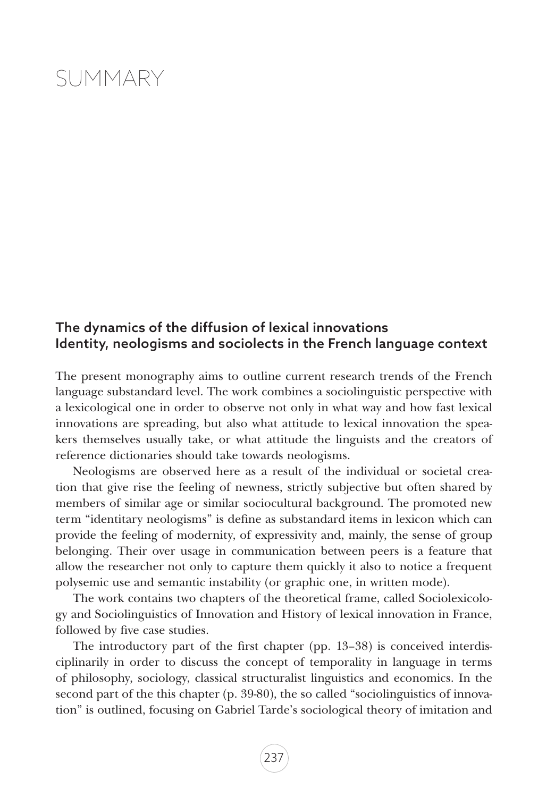## SUMMARY

## The dynamics of the diffusion of lexical innovations Identity, neologisms and sociolects in the French language context

The present monography aims to outline current research trends of the French language substandard level. The work combines a sociolinguistic perspective with a lexicological one in order to observe not only in what way and how fast lexical innovations are spreading, but also what attitude to lexical innovation the speakers themselves usually take, or what attitude the linguists and the creators of reference dictionaries should take towards neologisms.

Neologisms are observed here as a result of the individual or societal creation that give rise the feeling of newness, strictly subjective but often shared by members of similar age or similar sociocultural background. The promoted new term "identitary neologisms" is define as substandard items in lexicon which can provide the feeling of modernity, of expressivity and, mainly, the sense of group belonging. Their over usage in communication between peers is a feature that allow the researcher not only to capture them quickly it also to notice a frequent polysemic use and semantic instability (or graphic one, in written mode).

The work contains two chapters of the theoretical frame, called Sociolexicology and Sociolinguistics of Innovation and History of lexical innovation in France, followed by five case studies.

The introductory part of the first chapter (pp. 13–38) is conceived interdisciplinarily in order to discuss the concept of temporality in language in terms of philosophy, sociology, classical structuralist linguistics and economics. In the second part of the this chapter (p. 39-80), the so called "sociolinguistics of innovation" is outlined, focusing on Gabriel Tarde's sociological theory of imitation and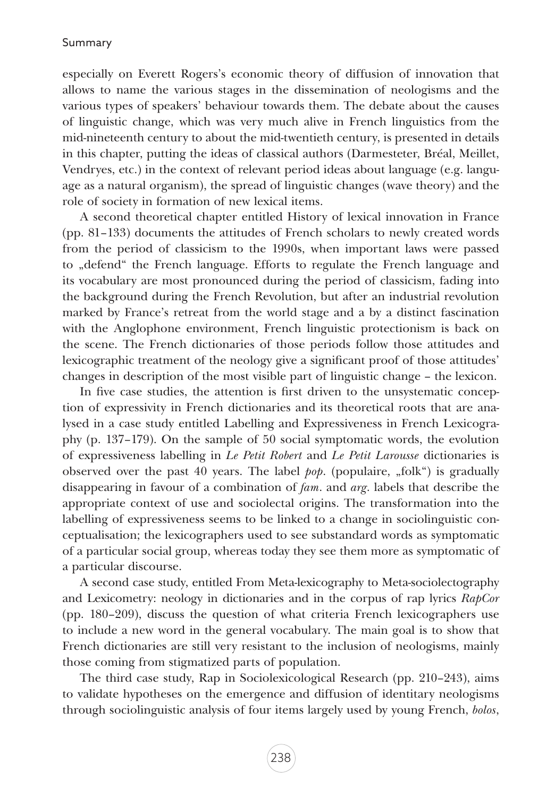## Summary

especially on Everett Rogers's economic theory of diffusion of innovation that allows to name the various stages in the dissemination of neologisms and the various types of speakers' behaviour towards them. The debate about the causes of linguistic change, which was very much alive in French linguistics from the mid-nineteenth century to about the mid-twentieth century, is presented in details in this chapter, putting the ideas of classical authors (Darmesteter, Bréal, Meillet, Vendryes, etc.) in the context of relevant period ideas about language (e.g. language as a natural organism), the spread of linguistic changes (wave theory) and the role of society in formation of new lexical items.

A second theoretical chapter entitled History of lexical innovation in France (pp. 81–133) documents the attitudes of French scholars to newly created words from the period of classicism to the 1990s, when important laws were passed to "defend" the French language. Efforts to regulate the French language and its vocabulary are most pronounced during the period of classicism, fading into the background during the French Revolution, but after an industrial revolution marked by France's retreat from the world stage and a by a distinct fascination with the Anglophone environment, French linguistic protectionism is back on the scene. The French dictionaries of those periods follow those attitudes and lexicographic treatment of the neology give a significant proof of those attitudes' changes in description of the most visible part of linguistic change – the lexicon.

In five case studies, the attention is first driven to the unsystematic conception of expressivity in French dictionaries and its theoretical roots that are analysed in a case study entitled Labelling and Expressiveness in French Lexicography (p. 137–179). On the sample of 50 social symptomatic words, the evolution of expressiveness labelling in *Le Petit Robert* and *Le Petit Larousse* dictionaries is observed over the past 40 years. The label *pop*. (populaire, "folk") is gradually disappearing in favour of a combination of *fam*. and *arg*. labels that describe the appropriate context of use and sociolectal origins. The transformation into the labelling of expressiveness seems to be linked to a change in sociolinguistic conceptualisation; the lexicographers used to see substandard words as symptomatic of a particular social group, whereas today they see them more as symptomatic of a particular discourse.

A second case study, entitled From Meta-lexicography to Meta-sociolectography and Lexicometry: neology in dictionaries and in the corpus of rap lyrics *RapCor*  (pp. 180–209), discuss the question of what criteria French lexicographers use to include a new word in the general vocabulary. The main goal is to show that French dictionaries are still very resistant to the inclusion of neologisms, mainly those coming from stigmatized parts of population.

The third case study, Rap in Sociolexicological Research (pp. 210–243), aims to validate hypotheses on the emergence and diffusion of identitary neologisms through sociolinguistic analysis of four items largely used by young French, *bolos*,